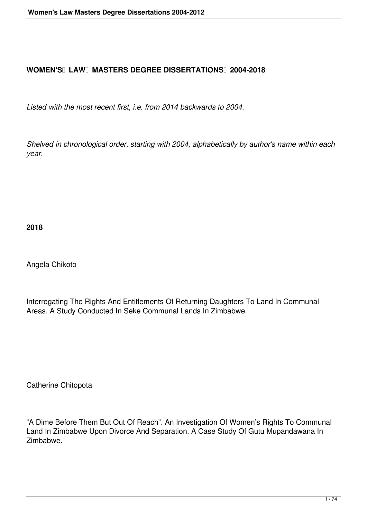## **WOMEN'S LAW MASTERS DEGREE DISSERTATIONS 2004-2018**

*Listed with the most recent first, i.e. from 2014 backwards to 2004.*

*Shelved in chronological order, starting with 2004, alphabetically by author's name within each year.*

**2018**

Angela Chikoto

Interrogating The Rights And Entitlements Of Returning Daughters To Land In Communal Areas. A Study Conducted In Seke Communal Lands In Zimbabwe.

Catherine Chitopota

"A Dime Before Them But Out Of Reach". An Investigation Of Women's Rights To Communal Land In Zimbabwe Upon Divorce And Separation. A Case Study Of Gutu Mupandawana In Zimbabwe.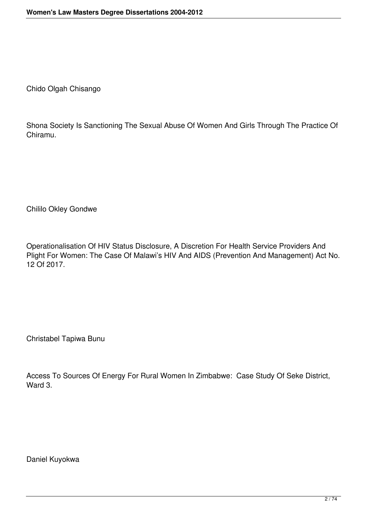Chido Olgah Chisango

Shona Society Is Sanctioning The Sexual Abuse Of Women And Girls Through The Practice Of Chiramu.

Chililo Okley Gondwe

Operationalisation Of HIV Status Disclosure, A Discretion For Health Service Providers And Plight For Women: The Case Of Malawi's HIV And AIDS (Prevention And Management) Act No. 12 Of 2017.

Christabel Tapiwa Bunu

Access To Sources Of Energy For Rural Women In Zimbabwe: Case Study Of Seke District, Ward 3.

Daniel Kuyokwa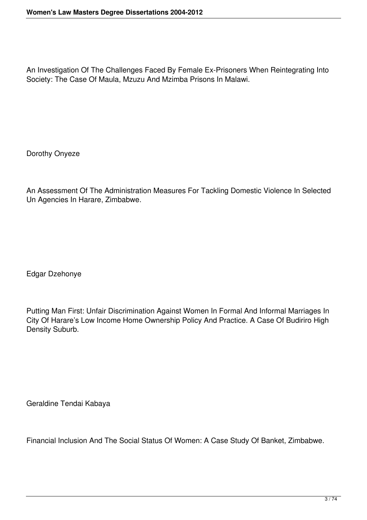An Investigation Of The Challenges Faced By Female Ex-Prisoners When Reintegrating Into Society: The Case Of Maula, Mzuzu And Mzimba Prisons In Malawi.

Dorothy Onyeze

An Assessment Of The Administration Measures For Tackling Domestic Violence In Selected Un Agencies In Harare, Zimbabwe.

Edgar Dzehonye

Putting Man First: Unfair Discrimination Against Women In Formal And Informal Marriages In City Of Harare's Low Income Home Ownership Policy And Practice. A Case Of Budiriro High Density Suburb.

Geraldine Tendai Kabaya

Financial Inclusion And The Social Status Of Women: A Case Study Of Banket, Zimbabwe.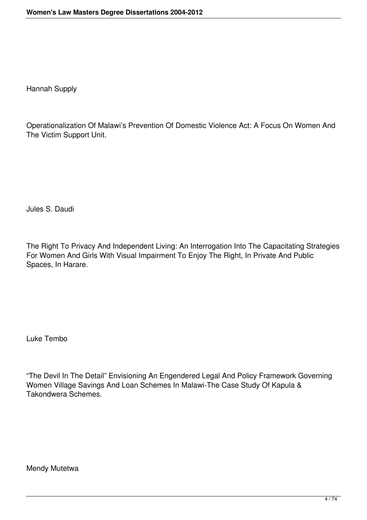Hannah Supply

Operationalization Of Malawi's Prevention Of Domestic Violence Act: A Focus On Women And The Victim Support Unit.

Jules S. Daudi

The Right To Privacy And Independent Living: An Interrogation Into The Capacitating Strategies For Women And Girls With Visual Impairment To Enjoy The Right, In Private And Public Spaces, In Harare.

Luke Tembo

"The Devil In The Detail" Envisioning An Engendered Legal And Policy Framework Governing Women Village Savings And Loan Schemes In Malawi-The Case Study Of Kapula & Takondwera Schemes.

Mendy Mutetwa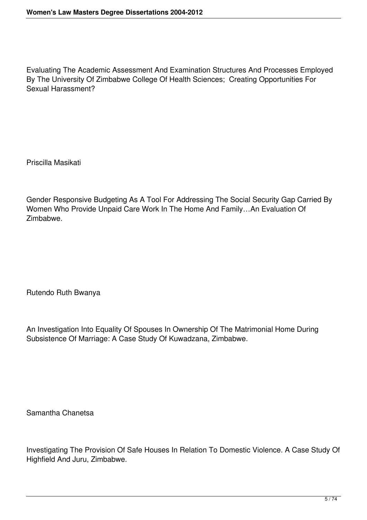Evaluating The Academic Assessment And Examination Structures And Processes Employed By The University Of Zimbabwe College Of Health Sciences; Creating Opportunities For Sexual Harassment?

Priscilla Masikati

Gender Responsive Budgeting As A Tool For Addressing The Social Security Gap Carried By Women Who Provide Unpaid Care Work In The Home And Family…An Evaluation Of Zimbabwe.

Rutendo Ruth Bwanya

An Investigation Into Equality Of Spouses In Ownership Of The Matrimonial Home During Subsistence Of Marriage: A Case Study Of Kuwadzana, Zimbabwe.

Samantha Chanetsa

Investigating The Provision Of Safe Houses In Relation To Domestic Violence. A Case Study Of Highfield And Juru, Zimbabwe.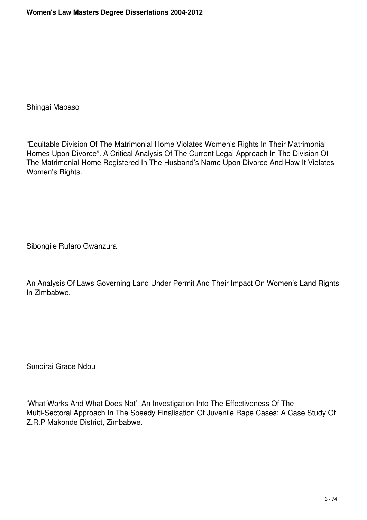Shingai Mabaso

"Equitable Division Of The Matrimonial Home Violates Women's Rights In Their Matrimonial Homes Upon Divorce". A Critical Analysis Of The Current Legal Approach In The Division Of The Matrimonial Home Registered In The Husband's Name Upon Divorce And How It Violates Women's Rights.

Sibongile Rufaro Gwanzura

An Analysis Of Laws Governing Land Under Permit And Their Impact On Women's Land Rights In Zimbabwe.

Sundirai Grace Ndou

'What Works And What Does Not' An Investigation Into The Effectiveness Of The Multi-Sectoral Approach In The Speedy Finalisation Of Juvenile Rape Cases: A Case Study Of Z.R.P Makonde District, Zimbabwe.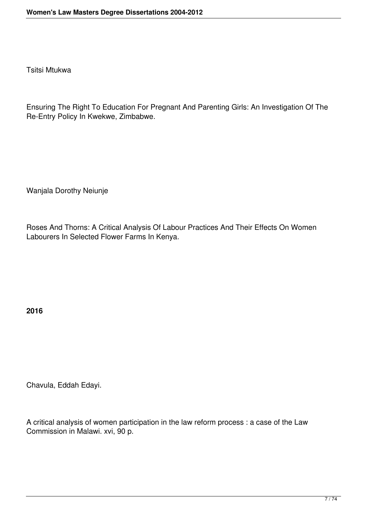Tsitsi Mtukwa

Ensuring The Right To Education For Pregnant And Parenting Girls: An Investigation Of The Re-Entry Policy In Kwekwe, Zimbabwe.

Wanjala Dorothy Neiunje

Roses And Thorns: A Critical Analysis Of Labour Practices And Their Effects On Women Labourers In Selected Flower Farms In Kenya.

**2016**

Chavula, Eddah Edayi.

A critical analysis of women participation in the law reform process : a case of the Law Commission in Malawi. xvi, 90 p.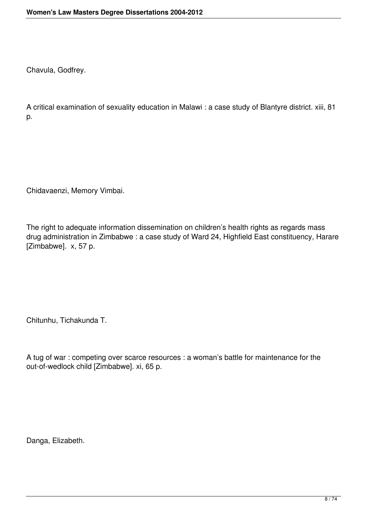Chavula, Godfrey.

A critical examination of sexuality education in Malawi : a case study of Blantyre district. xiii, 81 p.

Chidavaenzi, Memory Vimbai.

The right to adequate information dissemination on children's health rights as regards mass drug administration in Zimbabwe : a case study of Ward 24, Highfield East constituency, Harare [Zimbabwe]. x, 57 p.

Chitunhu, Tichakunda T.

A tug of war : competing over scarce resources : a woman's battle for maintenance for the out-of-wedlock child [Zimbabwe]. xi, 65 p.

Danga, Elizabeth.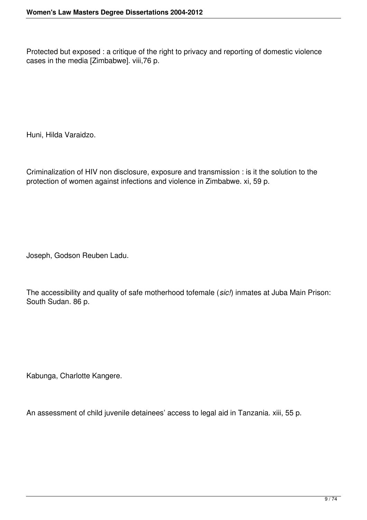Protected but exposed : a critique of the right to privacy and reporting of domestic violence cases in the media [Zimbabwe]. viii,76 p.

Huni, Hilda Varaidzo.

Criminalization of HIV non disclosure, exposure and transmission : is it the solution to the protection of women against infections and violence in Zimbabwe. xi, 59 p.

Joseph, Godson Reuben Ladu.

The accessibility and quality of safe motherhood tofemale (*sic!*) inmates at Juba Main Prison: South Sudan. 86 p.

Kabunga, Charlotte Kangere.

An assessment of child juvenile detainees' access to legal aid in Tanzania. xiii, 55 p.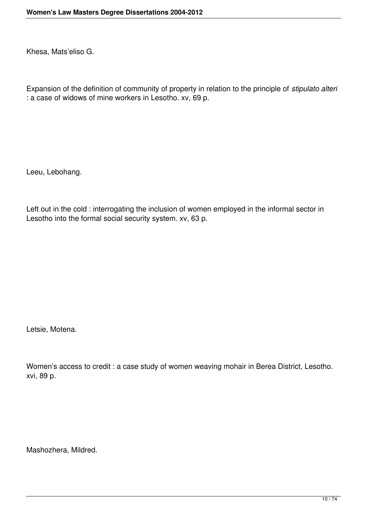Khesa, Mats'eliso G.

Expansion of the definition of community of property in relation to the principle of *stipulato alteri* : a case of widows of mine workers in Lesotho. xv, 69 p.

Leeu, Lebohang.

Left out in the cold : interrogating the inclusion of women employed in the informal sector in Lesotho into the formal social security system. xv, 63 p.

Letsie, Motena.

Women's access to credit : a case study of women weaving mohair in Berea District, Lesotho. xvi, 89 p.

Mashozhera, Mildred.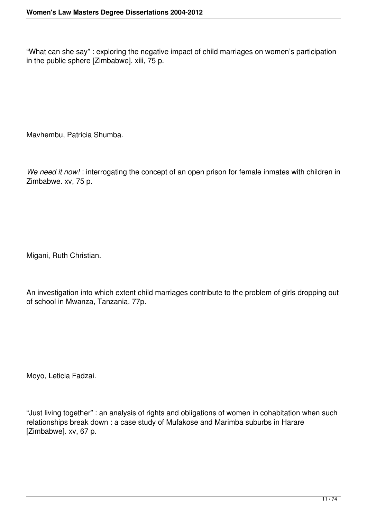"What can she say" : exploring the negative impact of child marriages on women's participation in the public sphere [Zimbabwe]. xiii, 75 p.

Mavhembu, Patricia Shumba.

*We need it now!* : interrogating the concept of an open prison for female inmates with children in Zimbabwe. xv, 75 p.

Migani, Ruth Christian.

An investigation into which extent child marriages contribute to the problem of girls dropping out of school in Mwanza, Tanzania. 77p.

Moyo, Leticia Fadzai.

"Just living together" : an analysis of rights and obligations of women in cohabitation when such relationships break down : a case study of Mufakose and Marimba suburbs in Harare [Zimbabwe]. xv, 67 p.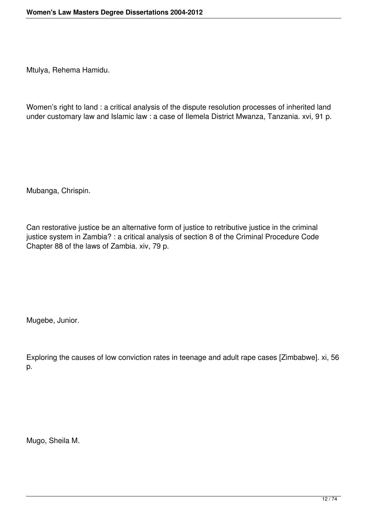Mtulya, Rehema Hamidu.

Women's right to land : a critical analysis of the dispute resolution processes of inherited land under customary law and Islamic law : a case of Ilemela District Mwanza, Tanzania. xvi, 91 p.

Mubanga, Chrispin.

Can restorative justice be an alternative form of justice to retributive justice in the criminal justice system in Zambia? : a critical analysis of section 8 of the Criminal Procedure Code Chapter 88 of the laws of Zambia. xiv, 79 p.

Mugebe, Junior.

Exploring the causes of low conviction rates in teenage and adult rape cases [Zimbabwe]. xi, 56 p.

Mugo, Sheila M.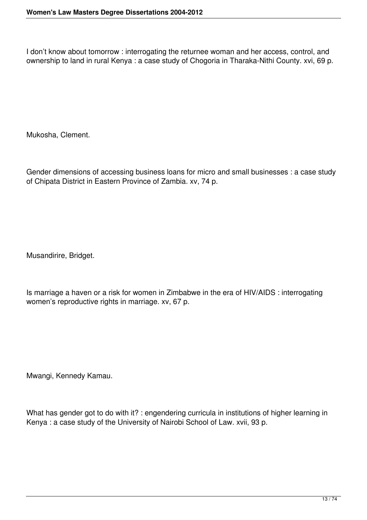I don't know about tomorrow : interrogating the returnee woman and her access, control, and ownership to land in rural Kenya : a case study of Chogoria in Tharaka-Nithi County. xvi, 69 p.

Mukosha, Clement.

Gender dimensions of accessing business loans for micro and small businesses : a case study of Chipata District in Eastern Province of Zambia. xv, 74 p.

Musandirire, Bridget.

Is marriage a haven or a risk for women in Zimbabwe in the era of HIV/AIDS : interrogating women's reproductive rights in marriage. xv, 67 p.

Mwangi, Kennedy Kamau.

What has gender got to do with it? : engendering curricula in institutions of higher learning in Kenya : a case study of the University of Nairobi School of Law. xvii, 93 p.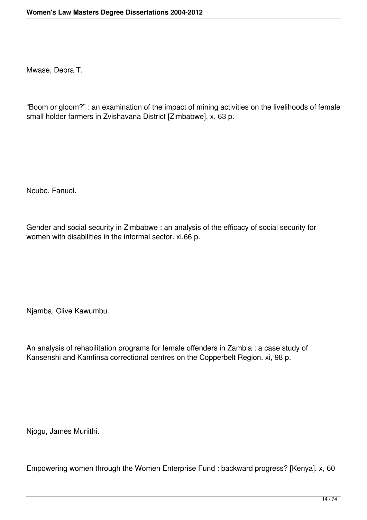Mwase, Debra T.

"Boom or gloom?" : an examination of the impact of mining activities on the livelihoods of female small holder farmers in Zvishavana District [Zimbabwe]. x, 63 p.

Ncube, Fanuel.

Gender and social security in Zimbabwe : an analysis of the efficacy of social security for women with disabilities in the informal sector. xi,66 p.

Njamba, Clive Kawumbu.

An analysis of rehabilitation programs for female offenders in Zambia : a case study of Kansenshi and Kamfinsa correctional centres on the Copperbelt Region. xi, 98 p.

Njogu, James Muriithi.

Empowering women through the Women Enterprise Fund : backward progress? [Kenya]. x, 60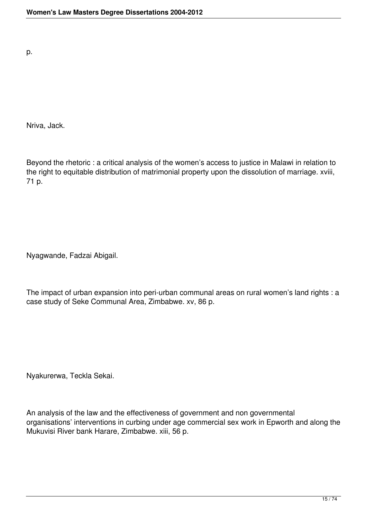p.

Nriva, Jack.

Beyond the rhetoric : a critical analysis of the women's access to justice in Malawi in relation to the right to equitable distribution of matrimonial property upon the dissolution of marriage. xviii, 71 p.

Nyagwande, Fadzai Abigail.

The impact of urban expansion into peri-urban communal areas on rural women's land rights : a case study of Seke Communal Area, Zimbabwe. xv, 86 p.

Nyakurerwa, Teckla Sekai.

An analysis of the law and the effectiveness of government and non governmental organisations' interventions in curbing under age commercial sex work in Epworth and along the Mukuvisi River bank Harare, Zimbabwe. xiii, 56 p.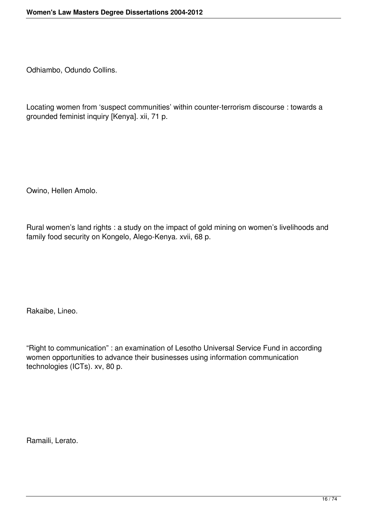Odhiambo, Odundo Collins.

Locating women from 'suspect communities' within counter-terrorism discourse : towards a grounded feminist inquiry [Kenya]. xii, 71 p.

Owino, Hellen Amolo.

Rural women's land rights : a study on the impact of gold mining on women's livelihoods and family food security on Kongelo, Alego-Kenya. xvii, 68 p.

Rakaibe, Lineo.

"Right to communication" : an examination of Lesotho Universal Service Fund in according women opportunities to advance their businesses using information communication technologies (ICTs). xv, 80 p.

Ramaili, Lerato.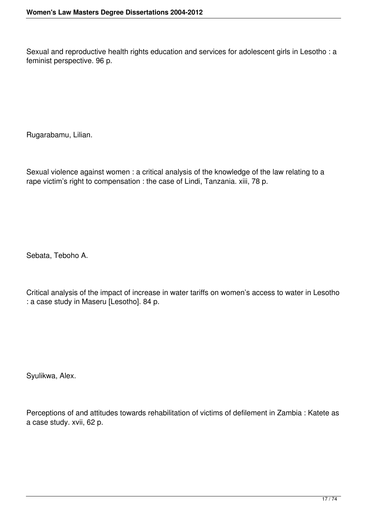Sexual and reproductive health rights education and services for adolescent girls in Lesotho : a feminist perspective. 96 p.

Rugarabamu, Lilian.

Sexual violence against women : a critical analysis of the knowledge of the law relating to a rape victim's right to compensation : the case of Lindi, Tanzania. xiii, 78 p.

Sebata, Teboho A.

Critical analysis of the impact of increase in water tariffs on women's access to water in Lesotho : a case study in Maseru [Lesotho]. 84 p.

Syulikwa, Alex.

Perceptions of and attitudes towards rehabilitation of victims of defilement in Zambia : Katete as a case study. xvii, 62 p.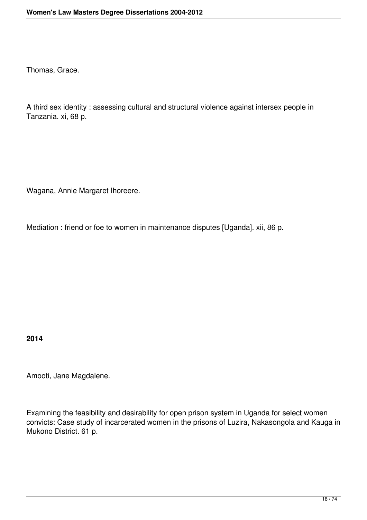Thomas, Grace.

A third sex identity : assessing cultural and structural violence against intersex people in Tanzania. xi, 68 p.

Wagana, Annie Margaret Ihoreere.

Mediation : friend or foe to women in maintenance disputes [Uganda]. xii, 86 p.

**2014**

Amooti, Jane Magdalene.

Examining the feasibility and desirability for open prison system in Uganda for select women convicts: Case study of incarcerated women in the prisons of Luzira, Nakasongola and Kauga in Mukono District. 61 p.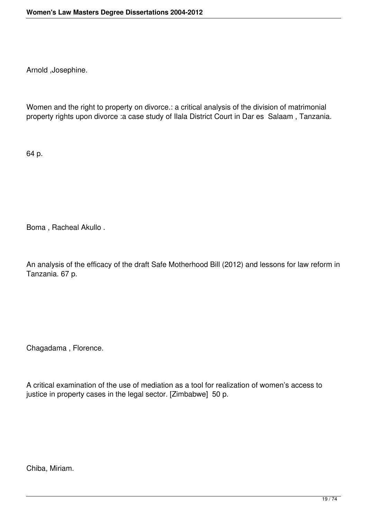Arnold ,Josephine.

Women and the right to property on divorce.: a critical analysis of the division of matrimonial property rights upon divorce :a case study of Ilala District Court in Dar es Salaam , Tanzania.

64 p.

Boma , Racheal Akullo .

An analysis of the efficacy of the draft Safe Motherhood Bill (2012) and lessons for law reform in Tanzania. 67 p.

Chagadama , Florence.

A critical examination of the use of mediation as a tool for realization of women's access to justice in property cases in the legal sector. [Zimbabwe] 50 p.

Chiba, Miriam.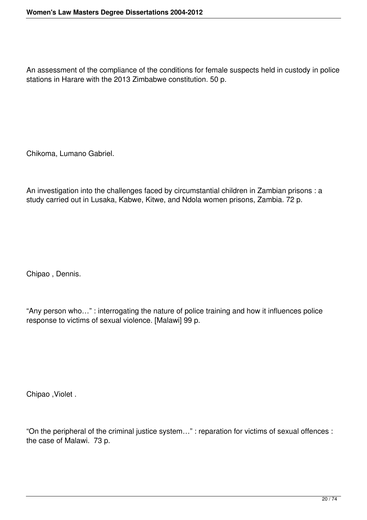An assessment of the compliance of the conditions for female suspects held in custody in police stations in Harare with the 2013 Zimbabwe constitution. 50 p.

Chikoma, Lumano Gabriel.

An investigation into the challenges faced by circumstantial children in Zambian prisons : a study carried out in Lusaka, Kabwe, Kitwe, and Ndola women prisons, Zambia. 72 p.

Chipao , Dennis.

"Any person who…" : interrogating the nature of police training and how it influences police response to victims of sexual violence. [Malawi] 99 p.

Chipao ,Violet .

"On the peripheral of the criminal justice system…" : reparation for victims of sexual offences : the case of Malawi. 73 p.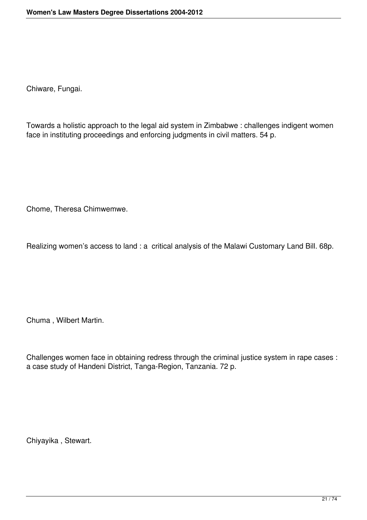Chiware, Fungai.

Towards a holistic approach to the legal aid system in Zimbabwe : challenges indigent women face in instituting proceedings and enforcing judgments in civil matters. 54 p.

Chome, Theresa Chimwemwe.

Realizing women's access to land : a critical analysis of the Malawi Customary Land Bill. 68p.

Chuma , Wilbert Martin.

Challenges women face in obtaining redress through the criminal justice system in rape cases : a case study of Handeni District, Tanga-Region, Tanzania. 72 p.

Chiyayika , Stewart.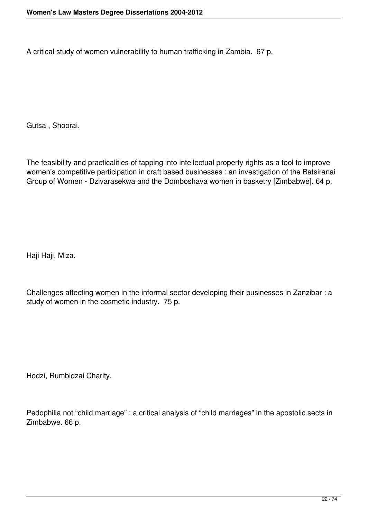A critical study of women vulnerability to human trafficking in Zambia. 67 p.

Gutsa , Shoorai.

The feasibility and practicalities of tapping into intellectual property rights as a tool to improve women's competitive participation in craft based businesses : an investigation of the Batsiranai Group of Women - Dzivarasekwa and the Domboshava women in basketry [Zimbabwe]. 64 p.

Haji Haji, Miza.

Challenges affecting women in the informal sector developing their businesses in Zanzibar : a study of women in the cosmetic industry. 75 p.

Hodzi, Rumbidzai Charity.

Pedophilia not "child marriage" : a critical analysis of "child marriages" in the apostolic sects in Zimbabwe. 66 p.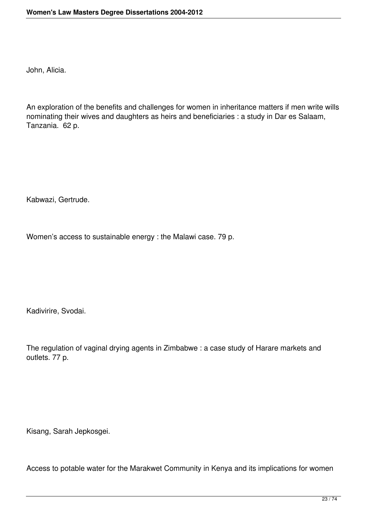John, Alicia.

An exploration of the benefits and challenges for women in inheritance matters if men write wills nominating their wives and daughters as heirs and beneficiaries : a study in Dar es Salaam, Tanzania. 62 p.

Kabwazi, Gertrude.

Women's access to sustainable energy : the Malawi case. 79 p.

Kadivirire, Svodai.

The regulation of vaginal drying agents in Zimbabwe : a case study of Harare markets and outlets. 77 p.

Kisang, Sarah Jepkosgei.

Access to potable water for the Marakwet Community in Kenya and its implications for women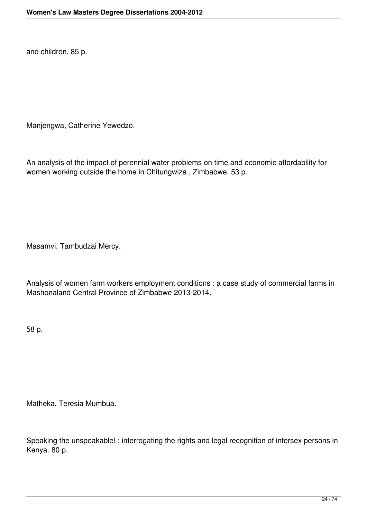and children. 85 p.

Manjengwa, Catherine Yewedzo.

An analysis of the impact of perennial water problems on time and economic affordability for women working outside the home in Chitungwiza , Zimbabwe. 53 p.

Masamvi, Tambudzai Mercy.

Analysis of women farm workers employment conditions : a case study of commercial farms in Mashonaland Central Province of Zimbabwe 2013-2014.

58 p.

Matheka, Teresia Mumbua.

Speaking the unspeakable! : interrogating the rights and legal recognition of intersex persons in Kenya. 80 p.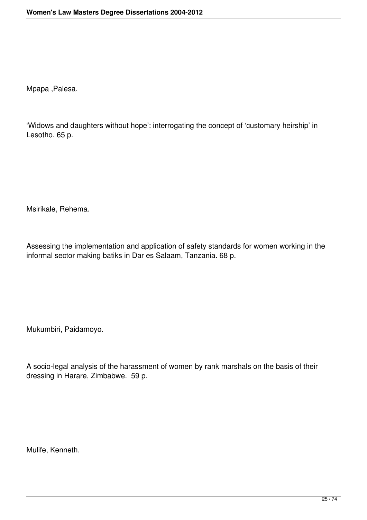Mpapa ,Palesa.

'Widows and daughters without hope': interrogating the concept of 'customary heirship' in Lesotho. 65 p.

Msirikale, Rehema.

Assessing the implementation and application of safety standards for women working in the informal sector making batiks in Dar es Salaam, Tanzania. 68 p.

Mukumbiri, Paidamoyo.

A socio-legal analysis of the harassment of women by rank marshals on the basis of their dressing in Harare, Zimbabwe. 59 p.

Mulife, Kenneth.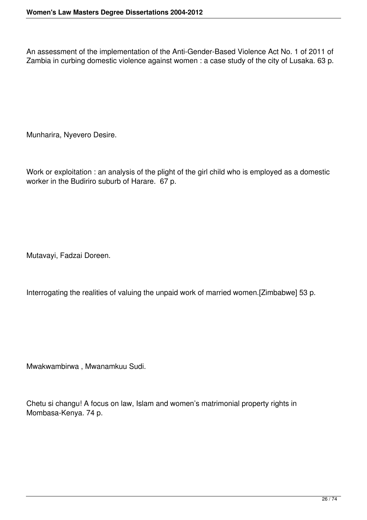An assessment of the implementation of the Anti-Gender-Based Violence Act No. 1 of 2011 of Zambia in curbing domestic violence against women : a case study of the city of Lusaka. 63 p.

Munharira, Nyevero Desire.

Work or exploitation : an analysis of the plight of the girl child who is employed as a domestic worker in the Budiriro suburb of Harare. 67 p.

Mutavayi, Fadzai Doreen.

Interrogating the realities of valuing the unpaid work of married women.[Zimbabwe] 53 p.

Mwakwambirwa , Mwanamkuu Sudi.

Chetu si changu! A focus on law, Islam and women's matrimonial property rights in Mombasa-Kenya. 74 p.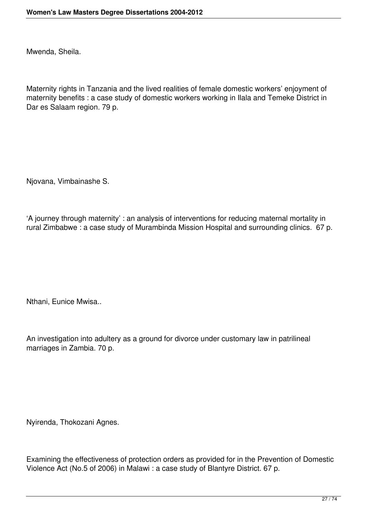Mwenda, Sheila.

Maternity rights in Tanzania and the lived realities of female domestic workers' enjoyment of maternity benefits : a case study of domestic workers working in Ilala and Temeke District in Dar es Salaam region. 79 p.

Njovana, Vimbainashe S.

'A journey through maternity' : an analysis of interventions for reducing maternal mortality in rural Zimbabwe : a case study of Murambinda Mission Hospital and surrounding clinics. 67 p.

Nthani, Eunice Mwisa..

An investigation into adultery as a ground for divorce under customary law in patrilineal marriages in Zambia. 70 p.

Nyirenda, Thokozani Agnes.

Examining the effectiveness of protection orders as provided for in the Prevention of Domestic Violence Act (No.5 of 2006) in Malawi : a case study of Blantyre District. 67 p.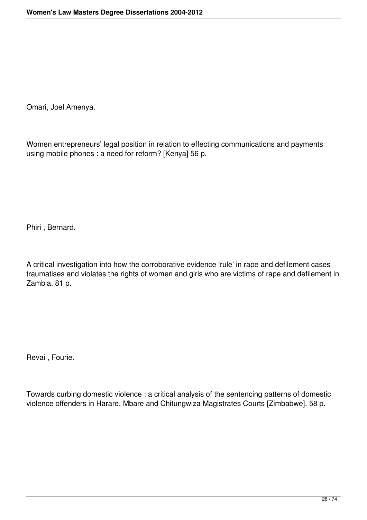Omari, Joel Amenya.

Women entrepreneurs' legal position in relation to effecting communications and payments using mobile phones : a need for reform? [Kenya] 56 p.

Phiri , Bernard.

A critical investigation into how the corroborative evidence 'rule' in rape and defilement cases traumatises and violates the rights of women and girls who are victims of rape and defilement in Zambia. 81 p.

Revai , Fourie.

Towards curbing domestic violence : a critical analysis of the sentencing patterns of domestic violence offenders in Harare, Mbare and Chitungwiza Magistrates Courts [Zimbabwe]. 58 p.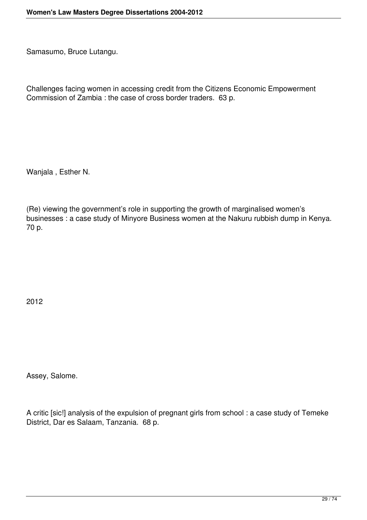Samasumo, Bruce Lutangu.

Challenges facing women in accessing credit from the Citizens Economic Empowerment Commission of Zambia : the case of cross border traders. 63 p.

Wanjala , Esther N.

(Re) viewing the government's role in supporting the growth of marginalised women's businesses : a case study of Minyore Business women at the Nakuru rubbish dump in Kenya. 70 p.

2012

Assey, Salome.

A critic [sic!] analysis of the expulsion of pregnant girls from school : a case study of Temeke District, Dar es Salaam, Tanzania. 68 p.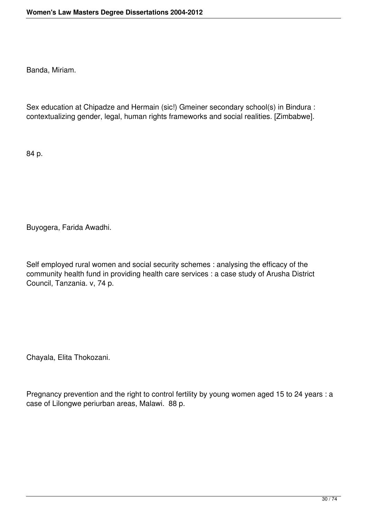Banda, Miriam.

Sex education at Chipadze and Hermain (sic!) Gmeiner secondary school(s) in Bindura : contextualizing gender, legal, human rights frameworks and social realities. [Zimbabwe].

84 p.

Buyogera, Farida Awadhi.

Self employed rural women and social security schemes : analysing the efficacy of the community health fund in providing health care services : a case study of Arusha District Council, Tanzania. v, 74 p.

Chayala, Elita Thokozani.

Pregnancy prevention and the right to control fertility by young women aged 15 to 24 years : a case of Lilongwe periurban areas, Malawi. 88 p.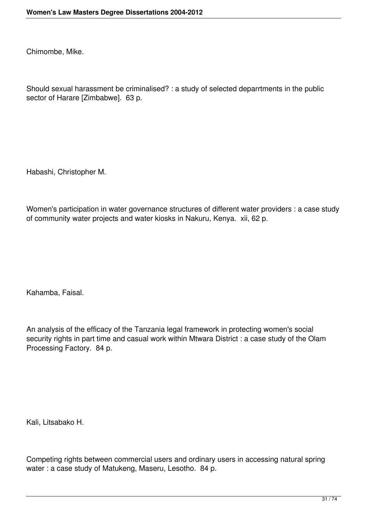Chimombe, Mike.

Should sexual harassment be criminalised? : a study of selected deparrtments in the public sector of Harare [Zimbabwe]. 63 p.

Habashi, Christopher M.

Women's participation in water governance structures of different water providers : a case study of community water projects and water kiosks in Nakuru, Kenya. xii, 62 p.

Kahamba, Faisal.

An analysis of the efficacy of the Tanzania legal framework in protecting women's social security rights in part time and casual work within Mtwara District : a case study of the Olam Processing Factory. 84 p.

Kali, Litsabako H.

Competing rights between commercial users and ordinary users in accessing natural spring water : a case study of Matukeng, Maseru, Lesotho. 84 p.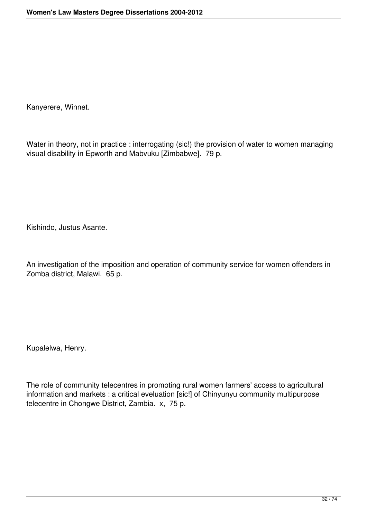Kanyerere, Winnet.

Water in theory, not in practice : interrogating (sic!) the provision of water to women managing visual disability in Epworth and Mabvuku [Zimbabwe]. 79 p.

Kishindo, Justus Asante.

An investigation of the imposition and operation of community service for women offenders in Zomba district, Malawi. 65 p.

Kupalelwa, Henry.

The role of community telecentres in promoting rural women farmers' access to agricultural information and markets : a critical eveluation [sic!] of Chinyunyu community multipurpose telecentre in Chongwe District, Zambia. x, 75 p.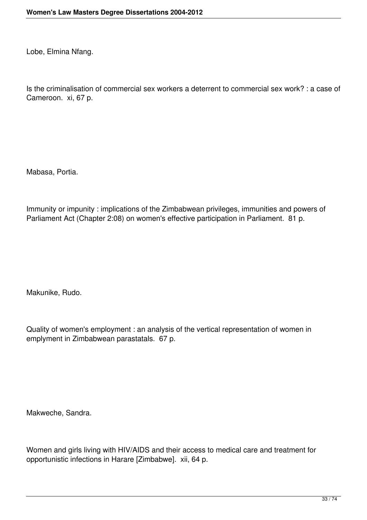Lobe, Elmina Nfang.

Is the criminalisation of commercial sex workers a deterrent to commercial sex work? : a case of Cameroon. xi, 67 p.

Mabasa, Portia.

Immunity or impunity : implications of the Zimbabwean privileges, immunities and powers of Parliament Act (Chapter 2:08) on women's effective participation in Parliament. 81 p.

Makunike, Rudo.

Quality of women's employment : an analysis of the vertical representation of women in emplyment in Zimbabwean parastatals. 67 p.

Makweche, Sandra.

Women and girls living with HIV/AIDS and their access to medical care and treatment for opportunistic infections in Harare [Zimbabwe]. xii, 64 p.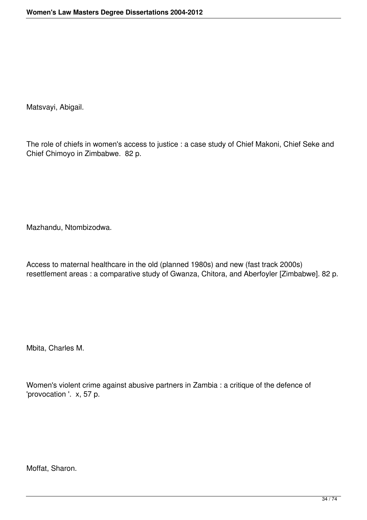Matsvayi, Abigail.

The role of chiefs in women's access to justice : a case study of Chief Makoni, Chief Seke and Chief Chimoyo in Zimbabwe. 82 p.

Mazhandu, Ntombizodwa.

Access to maternal healthcare in the old (planned 1980s) and new (fast track 2000s) resettlement areas : a comparative study of Gwanza, Chitora, and Aberfoyler [Zimbabwe]. 82 p.

Mbita, Charles M.

Women's violent crime against abusive partners in Zambia : a critique of the defence of 'provocation '. x, 57 p.

Moffat, Sharon.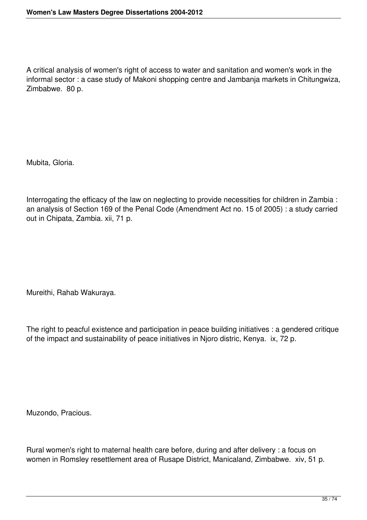A critical analysis of women's right of access to water and sanitation and women's work in the informal sector : a case study of Makoni shopping centre and Jambanja markets in Chitungwiza, Zimbabwe. 80 p.

Mubita, Gloria.

Interrogating the efficacy of the law on neglecting to provide necessities for children in Zambia : an analysis of Section 169 of the Penal Code (Amendment Act no. 15 of 2005) : a study carried out in Chipata, Zambia. xii, 71 p.

Mureithi, Rahab Wakuraya.

The right to peacful existence and participation in peace building initiatives : a gendered critique of the impact and sustainability of peace initiatives in Njoro distric, Kenya. ix, 72 p.

Muzondo, Pracious.

Rural women's right to maternal health care before, during and after delivery : a focus on women in Romsley resettlement area of Rusape District, Manicaland, Zimbabwe. xiv, 51 p.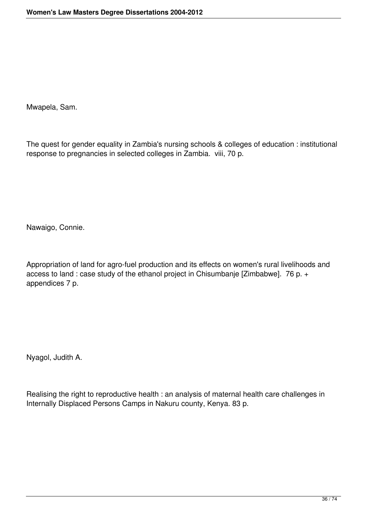Mwapela, Sam.

The quest for gender equality in Zambia's nursing schools & colleges of education : institutional response to pregnancies in selected colleges in Zambia. viii, 70 p.

Nawaigo, Connie.

Appropriation of land for agro-fuel production and its effects on women's rural livelihoods and access to land : case study of the ethanol project in Chisumbanje [Zimbabwe]. 76 p. + appendices 7 p.

Nyagol, Judith A.

Realising the right to reproductive health : an analysis of maternal health care challenges in Internally Displaced Persons Camps in Nakuru county, Kenya. 83 p.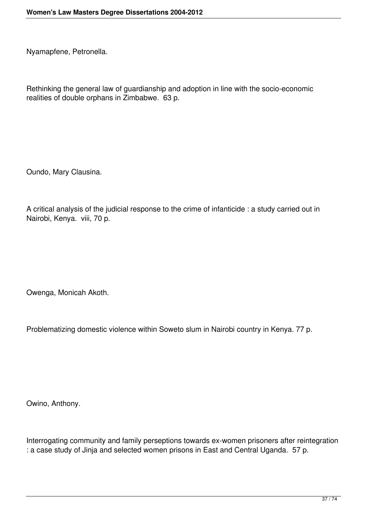Nyamapfene, Petronella.

Rethinking the general law of guardianship and adoption in line with the socio-economic realities of double orphans in Zimbabwe. 63 p.

Oundo, Mary Clausina.

A critical analysis of the judicial response to the crime of infanticide : a study carried out in Nairobi, Kenya. viii, 70 p.

Owenga, Monicah Akoth.

Problematizing domestic violence within Soweto slum in Nairobi country in Kenya. 77 p.

Owino, Anthony.

Interrogating community and family perseptions towards ex-women prisoners after reintegration : a case study of Jinja and selected women prisons in East and Central Uganda. 57 p.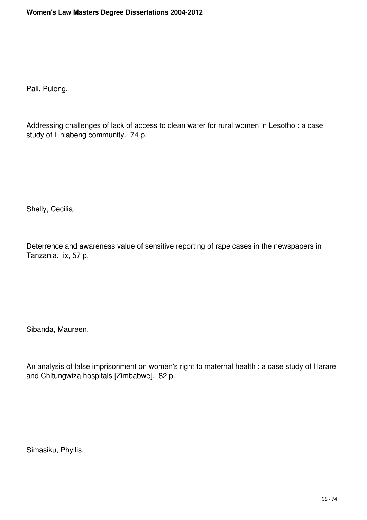Pali, Puleng.

Addressing challenges of lack of access to clean water for rural women in Lesotho : a case study of Lihlabeng community. 74 p.

Shelly, Cecilia.

Deterrence and awareness value of sensitive reporting of rape cases in the newspapers in Tanzania. ix, 57 p.

Sibanda, Maureen.

An analysis of false imprisonment on women's right to maternal health : a case study of Harare and Chitungwiza hospitals [Zimbabwe]. 82 p.

Simasiku, Phyllis.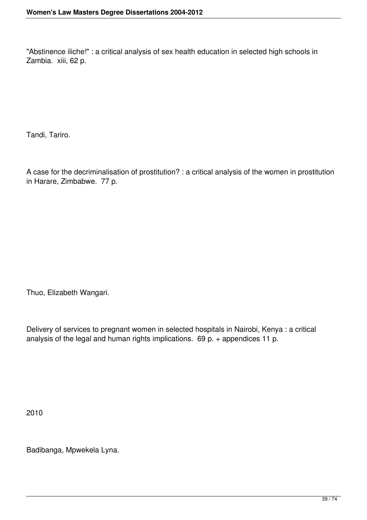"Abstinence iliche!" : a critical analysis of sex health education in selected high schools in Zambia. xiii, 62 p.

Tandi, Tariro.

A case for the decriminalisation of prostitution? : a critical analysis of the women in prostitution in Harare, Zimbabwe. 77 p.

Thuo, Elizabeth Wangari.

Delivery of services to pregnant women in selected hospitals in Nairobi, Kenya : a critical analysis of the legal and human rights implications. 69 p. + appendices 11 p.

2010

Badibanga, Mpwekela Lyna.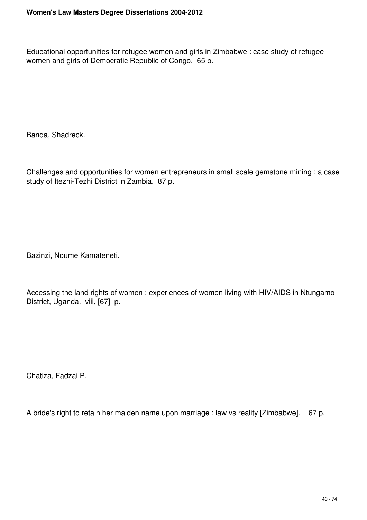Educational opportunities for refugee women and girls in Zimbabwe : case study of refugee women and girls of Democratic Republic of Congo. 65 p.

Banda, Shadreck.

Challenges and opportunities for women entrepreneurs in small scale gemstone mining : a case study of Itezhi-Tezhi District in Zambia. 87 p.

Bazinzi, Noume Kamateneti.

Accessing the land rights of women : experiences of women living with HIV/AIDS in Ntungamo District, Uganda. viii, [67] p.

Chatiza, Fadzai P.

A bride's right to retain her maiden name upon marriage : law vs reality [Zimbabwe]. 67 p.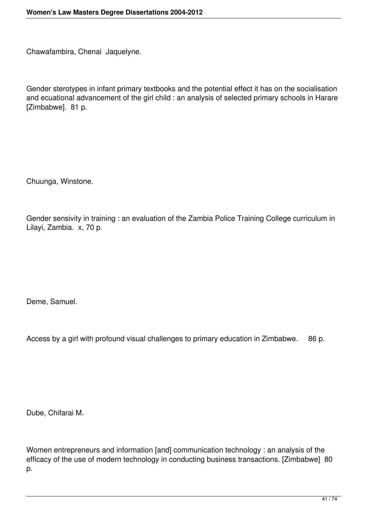Chawafambira, Chenai Jaquelyne.

Gender sterotypes in infant primary textbooks and the potential effect it has on the socialisation and ecuational advancement of the girl child : an analysis of selected primary schools in Harare [Zimbabwe]. 81 p.

Chuunga, Winstone.

Gender sensivity in training : an evaluation of the Zambia Police Training College curriculum in Lilayi, Zambia. x, 70 p.

Deme, Samuel.

Access by a girl with profound visual challenges to primary education in Zimbabwe. 86 p.

Dube, Chifarai M.

Women entrepreneurs and information [and] communication technology : an analysis of the efficacy of the use of modern technology in conducting business transactions. [Zimbabwe] 80 p.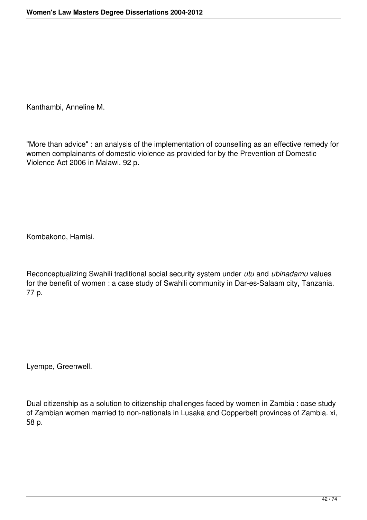Kanthambi, Anneline M.

"More than advice" : an analysis of the implementation of counselling as an effective remedy for women complainants of domestic violence as provided for by the Prevention of Domestic Violence Act 2006 in Malawi. 92 p.

Kombakono, Hamisi.

Reconceptualizing Swahili traditional social security system under *utu* and *ubinadamu* values for the benefit of women : a case study of Swahili community in Dar-es-Salaam city, Tanzania. 77 p.

Lyempe, Greenwell.

Dual citizenship as a solution to citizenship challenges faced by women in Zambia : case study of Zambian women married to non-nationals in Lusaka and Copperbelt provinces of Zambia. xi, 58 p.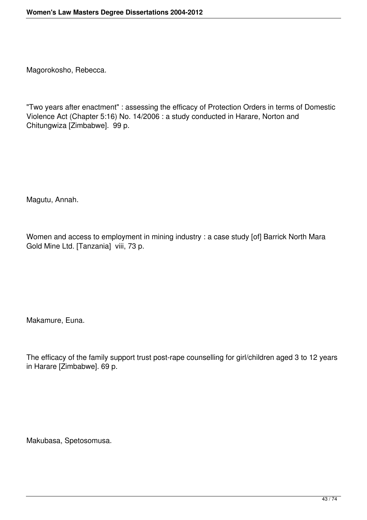Magorokosho, Rebecca.

"Two years after enactment" : assessing the efficacy of Protection Orders in terms of Domestic Violence Act (Chapter 5:16) No. 14/2006 : a study conducted in Harare, Norton and Chitungwiza [Zimbabwe]. 99 p.

Magutu, Annah.

Women and access to employment in mining industry : a case study [of] Barrick North Mara Gold Mine Ltd. [Tanzania] viii, 73 p.

Makamure, Euna.

The efficacy of the family support trust post-rape counselling for girl/children aged 3 to 12 years in Harare [Zimbabwe]. 69 p.

Makubasa, Spetosomusa.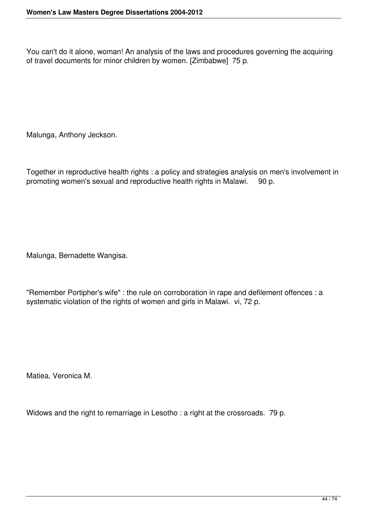You can't do it alone, woman! An analysis of the laws and procedures governing the acquiring of travel documents for minor children by women. [Zimbabwe] 75 p.

Malunga, Anthony Jeckson.

Together in reproductive health rights : a policy and strategies analysis on men's involvement in promoting women's sexual and reproductive health rights in Malawi. 90 p.

Malunga, Bernadette Wangisa.

"Remember Portipher's wife" : the rule on corroboration in rape and defilement offences : a systematic violation of the rights of women and girls in Malawi. vi, 72 p.

Matiea, Veronica M.

Widows and the right to remarriage in Lesotho : a right at the crossroads. 79 p.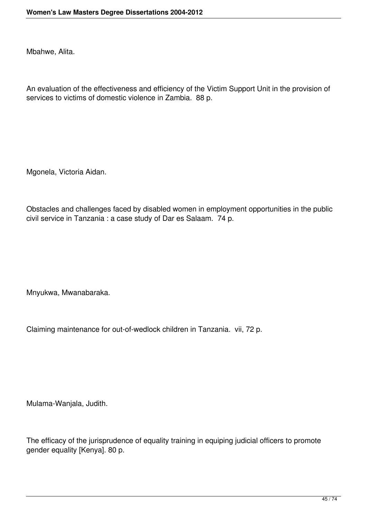Mbahwe, Alita.

An evaluation of the effectiveness and efficiency of the Victim Support Unit in the provision of services to victims of domestic violence in Zambia. 88 p.

Mgonela, Victoria Aidan.

Obstacles and challenges faced by disabled women in employment opportunities in the public civil service in Tanzania : a case study of Dar es Salaam. 74 p.

Mnyukwa, Mwanabaraka.

Claiming maintenance for out-of-wedlock children in Tanzania. vii, 72 p.

Mulama-Wanjala, Judith.

The efficacy of the jurisprudence of equality training in equiping judicial officers to promote gender equality [Kenya]. 80 p.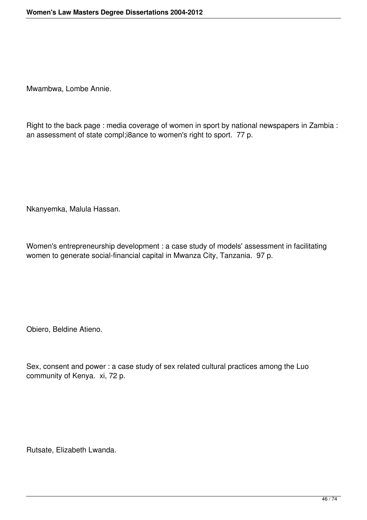Mwambwa, Lombe Annie.

Right to the back page : media coverage of women in sport by national newspapers in Zambia : an assessment of state compl;i8ance to women's right to sport. 77 p.

Nkanyemka, Malula Hassan.

Women's entrepreneurship development : a case study of models' assessment in facilitating women to generate social-financial capital in Mwanza City, Tanzania. 97 p.

Obiero, Beldine Atieno.

Sex, consent and power : a case study of sex related cultural practices among the Luo community of Kenya. xi, 72 p.

Rutsate, Elizabeth Lwanda.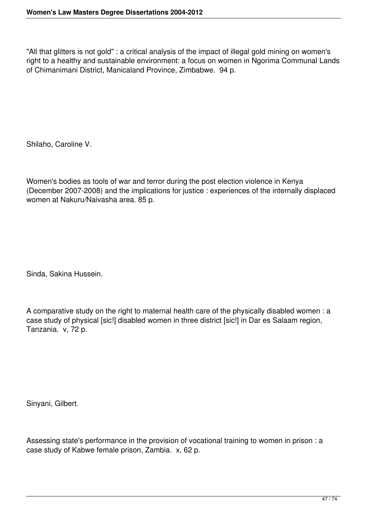"All that glitters is not gold" : a critical analysis of the impact of illegal gold mining on women's right to a healthy and sustainable environment: a focus on women in Ngorima Communal Lands of Chimanimani District, Manicaland Province, Zimbabwe. 94 p.

Shilaho, Caroline V.

Women's bodies as tools of war and terror during the post election violence in Kenya (December 2007-2008) and the implications for justice : experiences of the internally displaced women at Nakuru/Naivasha area. 85 p.

Sinda, Sakina Hussein.

A comparative study on the right to maternal health care of the physically disabled women : a case study of physical [sic!] disabled women in three district [sic!] in Dar es Salaam region, Tanzania. v, 72 p.

Sinyani, Gilbert.

Assessing state's performance in the provision of vocational training to women in prison : a case study of Kabwe female prison, Zambia. x, 62 p.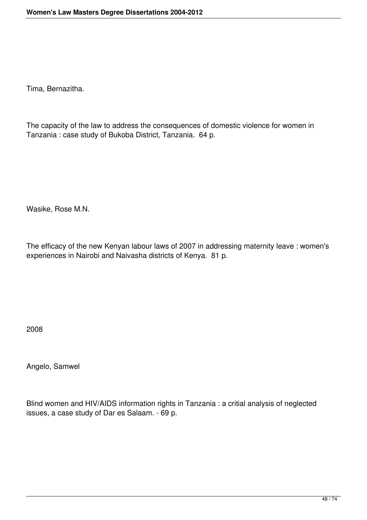Tima, Bernazitha.

The capacity of the law to address the consequences of domestic violence for women in Tanzania : case study of Bukoba District, Tanzania. 64 p.

Wasike, Rose M.N.

The efficacy of the new Kenyan labour laws of 2007 in addressing maternity leave : women's experiences in Nairobi and Naivasha districts of Kenya. 81 p.

2008

Angelo, Samwel

Blind women and HIV/AIDS information rights in Tanzania : a critial analysis of neglected issues, a case study of Dar es Salaam. - 69 p.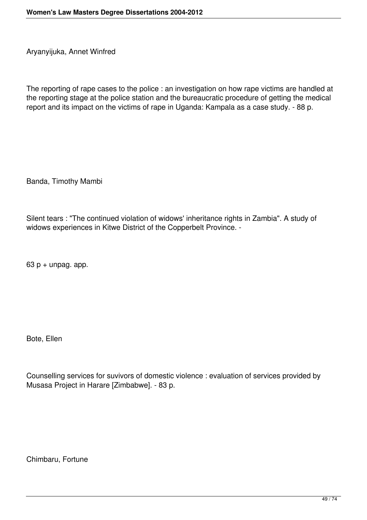Aryanyijuka, Annet Winfred

The reporting of rape cases to the police : an investigation on how rape victims are handled at the reporting stage at the police station and the bureaucratic procedure of getting the medical report and its impact on the victims of rape in Uganda: Kampala as a case study. - 88 p.

Banda, Timothy Mambi

Silent tears : "The continued violation of widows' inheritance rights in Zambia". A study of widows experiences in Kitwe District of the Copperbelt Province. -

 $63$  p + unpag. app.

Bote, Ellen

Counselling services for suvivors of domestic violence : evaluation of services provided by Musasa Project in Harare [Zimbabwe]. - 83 p.

Chimbaru, Fortune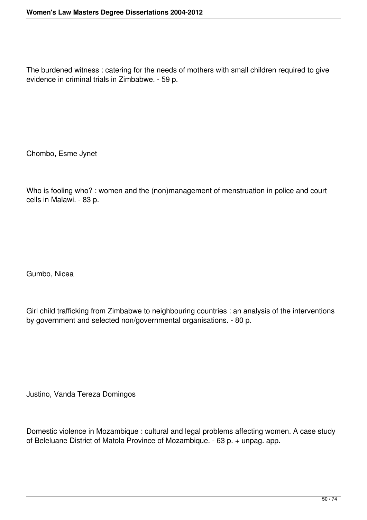The burdened witness : catering for the needs of mothers with small children required to give evidence in criminal trials in Zimbabwe. - 59 p.

Chombo, Esme Jynet

Who is fooling who? : women and the (non)management of menstruation in police and court cells in Malawi. - 83 p.

Gumbo, Nicea

Girl child trafficking from Zimbabwe to neighbouring countries : an analysis of the interventions by government and selected non/governmental organisations. - 80 p.

Justino, Vanda Tereza Domingos

Domestic violence in Mozambique : cultural and legal problems affecting women. A case study of Beleluane District of Matola Province of Mozambique. - 63 p. + unpag. app.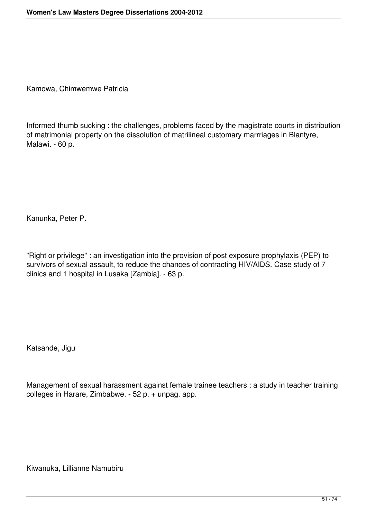Kamowa, Chimwemwe Patricia

Informed thumb sucking : the challenges, problems faced by the magistrate courts in distribution of matrimonial property on the dissolution of matrilineal customary marrriages in Blantyre, Malawi. - 60 p.

Kanunka, Peter P.

"Right or privilege" : an investigation into the provision of post exposure prophylaxis (PEP) to survivors of sexual assault, to reduce the chances of contracting HIV/AIDS. Case study of 7 clinics and 1 hospital in Lusaka [Zambia]. - 63 p.

Katsande, Jigu

Management of sexual harassment against female trainee teachers : a study in teacher training colleges in Harare, Zimbabwe. - 52 p. + unpag. app.

Kiwanuka, Lillianne Namubiru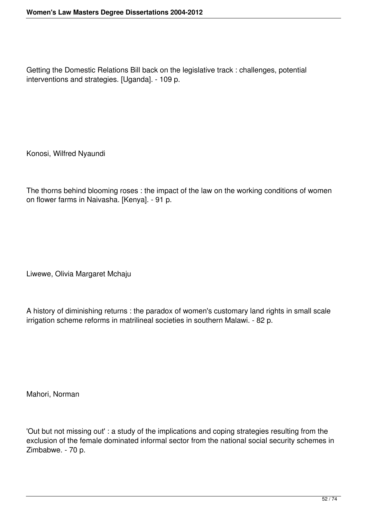Getting the Domestic Relations Bill back on the legislative track : challenges, potential interventions and strategies. [Uganda]. - 109 p.

Konosi, Wilfred Nyaundi

The thorns behind blooming roses : the impact of the law on the working conditions of women on flower farms in Naivasha. [Kenya]. - 91 p.

Liwewe, Olivia Margaret Mchaju

A history of diminishing returns : the paradox of women's customary land rights in small scale irrigation scheme reforms in matrilineal societies in southern Malawi. - 82 p.

Mahori, Norman

'Out but not missing out' : a study of the implications and coping strategies resulting from the exclusion of the female dominated informal sector from the national social security schemes in Zimbabwe. - 70 p.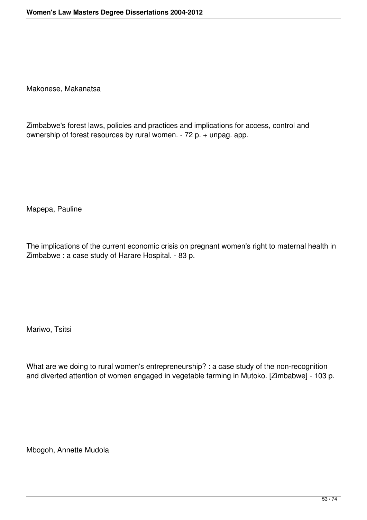Makonese, Makanatsa

Zimbabwe's forest laws, policies and practices and implications for access, control and ownership of forest resources by rural women. - 72 p. + unpag. app.

Mapepa, Pauline

The implications of the current economic crisis on pregnant women's right to maternal health in Zimbabwe : a case study of Harare Hospital. - 83 p.

Mariwo, Tsitsi

What are we doing to rural women's entrepreneurship? : a case study of the non-recognition and diverted attention of women engaged in vegetable farming in Mutoko. [Zimbabwe] - 103 p.

Mbogoh, Annette Mudola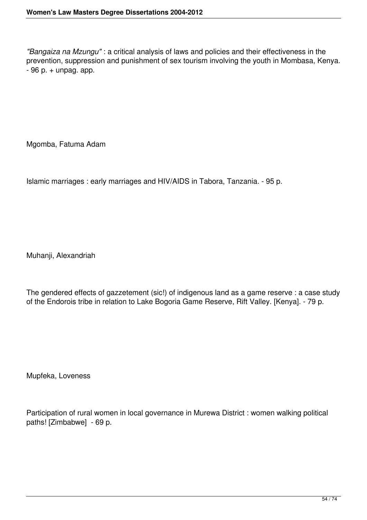*"Bangaiza na Mzungu"* : a critical analysis of laws and policies and their effectiveness in the prevention, suppression and punishment of sex tourism involving the youth in Mombasa, Kenya.  $-96$  p.  $+$  unpag. app.

Mgomba, Fatuma Adam

Islamic marriages : early marriages and HIV/AIDS in Tabora, Tanzania. - 95 p.

Muhanji, Alexandriah

The gendered effects of gazzetement (sic!) of indigenous land as a game reserve : a case study of the Endorois tribe in relation to Lake Bogoria Game Reserve, Rift Valley. [Kenya]. - 79 p.

Mupfeka, Loveness

Participation of rural women in local governance in Murewa District : women walking political paths! [Zimbabwe] - 69 p.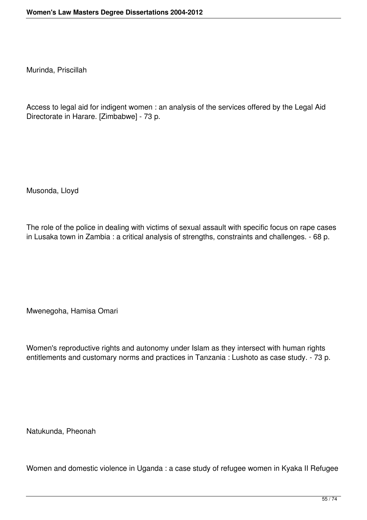Murinda, Priscillah

Access to legal aid for indigent women : an analysis of the services offered by the Legal Aid Directorate in Harare. [Zimbabwe] - 73 p.

Musonda, Lloyd

The role of the police in dealing with victims of sexual assault with specific focus on rape cases in Lusaka town in Zambia : a critical analysis of strengths, constraints and challenges. - 68 p.

Mwenegoha, Hamisa Omari

Women's reproductive rights and autonomy under Islam as they intersect with human rights entitlements and customary norms and practices in Tanzania : Lushoto as case study. - 73 p.

Natukunda, Pheonah

Women and domestic violence in Uganda : a case study of refugee women in Kyaka II Refugee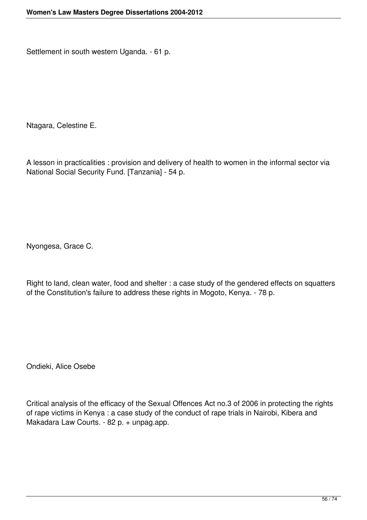Settlement in south western Uganda. - 61 p.

Ntagara, Celestine E.

A lesson in practicalities : provision and delivery of health to women in the informal sector via National Social Security Fund. [Tanzania] - 54 p.

Nyongesa, Grace C.

Right to land, clean water, food and shelter : a case study of the gendered effects on squatters of the Constitution's failure to address these rights in Mogoto, Kenya. - 78 p.

Ondieki, Alice Osebe

Critical analysis of the efficacy of the Sexual Offences Act no.3 of 2006 in protecting the rights of rape victims in Kenya : a case study of the conduct of rape trials in Nairobi, Kibera and Makadara Law Courts. - 82 p. + unpag.app.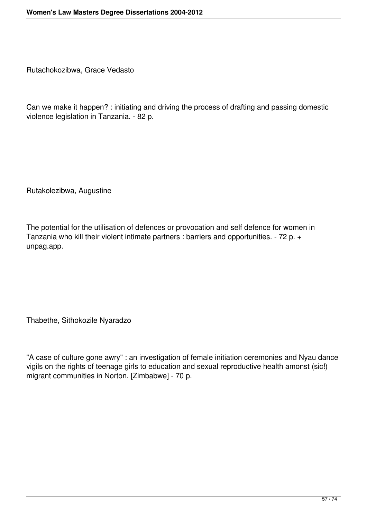Rutachokozibwa, Grace Vedasto

Can we make it happen? : initiating and driving the process of drafting and passing domestic violence legislation in Tanzania. - 82 p.

Rutakolezibwa, Augustine

The potential for the utilisation of defences or provocation and self defence for women in Tanzania who kill their violent intimate partners : barriers and opportunities. - 72 p. + unpag.app.

Thabethe, Sithokozile Nyaradzo

"A case of culture gone awry" : an investigation of female initiation ceremonies and Nyau dance vigils on the rights of teenage girls to education and sexual reproductive health amonst (sic!) migrant communities in Norton. [Zimbabwe] - 70 p.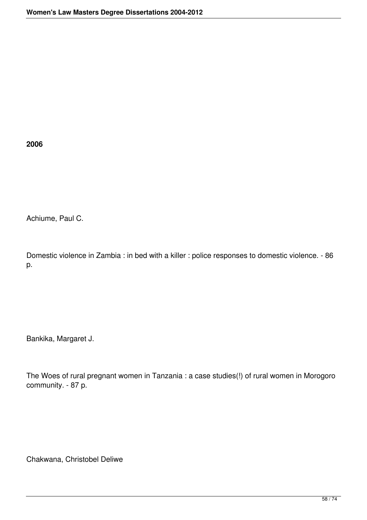**2006**

Achiume, Paul C.

Domestic violence in Zambia : in bed with a killer : police responses to domestic violence. - 86 p.

Bankika, Margaret J.

The Woes of rural pregnant women in Tanzania : a case studies(!) of rural women in Morogoro community. - 87 p.

Chakwana, Christobel Deliwe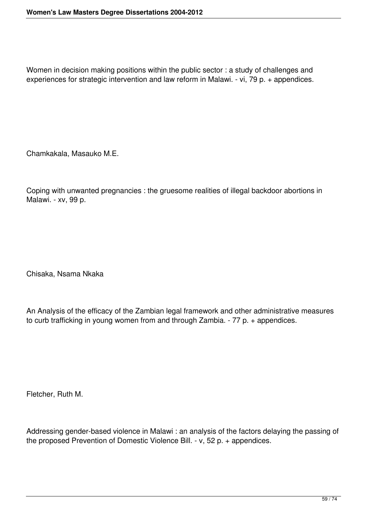Women in decision making positions within the public sector : a study of challenges and experiences for strategic intervention and law reform in Malawi. - vi, 79 p. + appendices.

Chamkakala, Masauko M.E.

Coping with unwanted pregnancies : the gruesome realities of illegal backdoor abortions in Malawi. - xv, 99 p.

Chisaka, Nsama Nkaka

An Analysis of the efficacy of the Zambian legal framework and other administrative measures to curb trafficking in young women from and through Zambia. - 77 p. + appendices.

Fletcher, Ruth M.

Addressing gender-based violence in Malawi : an analysis of the factors delaying the passing of the proposed Prevention of Domestic Violence Bill. - v, 52 p. + appendices.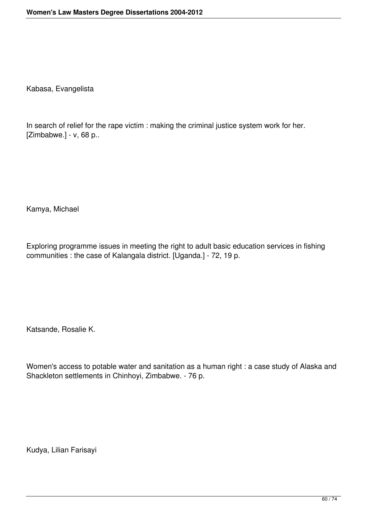Kabasa, Evangelista

In search of relief for the rape victim : making the criminal justice system work for her. [Zimbabwe.] - v, 68 p..

Kamya, Michael

Exploring programme issues in meeting the right to adult basic education services in fishing communities : the case of Kalangala district. [Uganda.] - 72, 19 p.

Katsande, Rosalie K.

Women's access to potable water and sanitation as a human right : a case study of Alaska and Shackleton settlements in Chinhoyi, Zimbabwe. - 76 p.

Kudya, Lilian Farisayi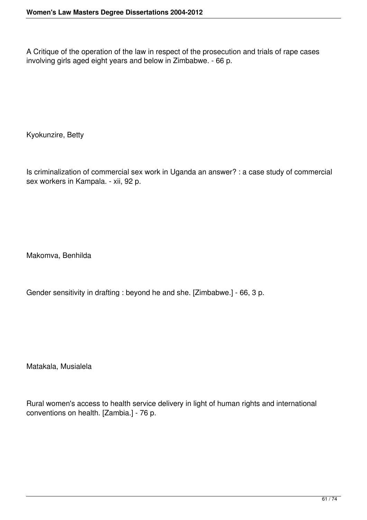A Critique of the operation of the law in respect of the prosecution and trials of rape cases involving girls aged eight years and below in Zimbabwe. - 66 p.

Kyokunzire, Betty

Is criminalization of commercial sex work in Uganda an answer? : a case study of commercial sex workers in Kampala. - xii, 92 p.

Makomva, Benhilda

Gender sensitivity in drafting : beyond he and she. [Zimbabwe.] - 66, 3 p.

Matakala, Musialela

Rural women's access to health service delivery in light of human rights and international conventions on health. [Zambia.] - 76 p.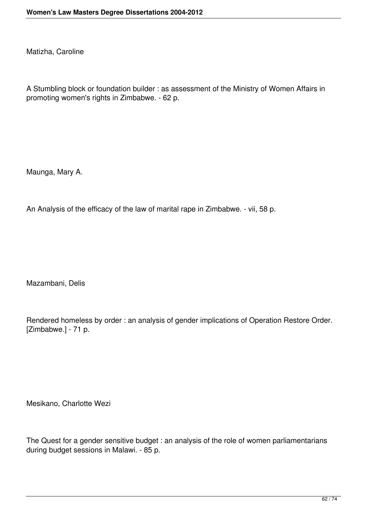Matizha, Caroline

A Stumbling block or foundation builder : as assessment of the Ministry of Women Affairs in promoting women's rights in Zimbabwe. - 62 p.

Maunga, Mary A.

An Analysis of the efficacy of the law of marital rape in Zimbabwe. - vii, 58 p.

Mazambani, Delis

Rendered homeless by order : an analysis of gender implications of Operation Restore Order. [Zimbabwe.] - 71 p.

Mesikano, Charlotte Wezi

The Quest for a gender sensitive budget : an analysis of the role of women parliamentarians during budget sessions in Malawi. - 85 p.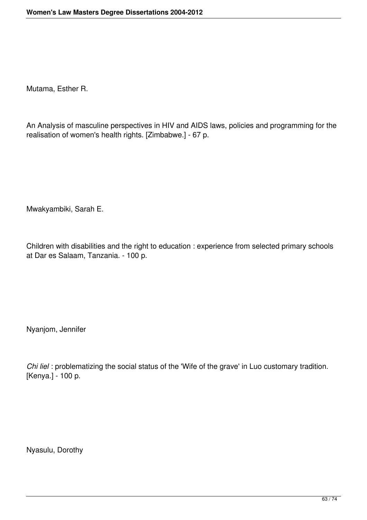Mutama, Esther R.

An Analysis of masculine perspectives in HIV and AIDS laws, policies and programming for the realisation of women's health rights. [Zimbabwe.] - 67 p.

Mwakyambiki, Sarah E.

Children with disabilities and the right to education : experience from selected primary schools at Dar es Salaam, Tanzania. - 100 p.

Nyanjom, Jennifer

*Chi liel* : problematizing the social status of the 'Wife of the grave' in Luo customary tradition. [Kenya.] - 100 p.

Nyasulu, Dorothy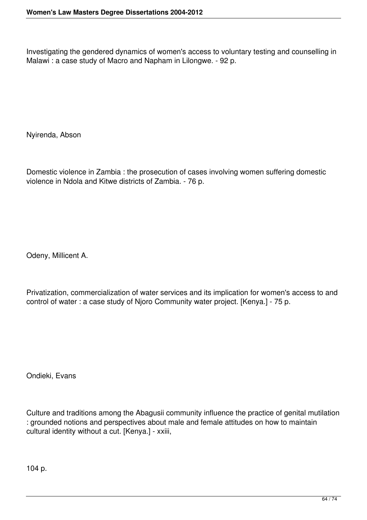Investigating the gendered dynamics of women's access to voluntary testing and counselling in Malawi : a case study of Macro and Napham in Lilongwe. - 92 p.

Nyirenda, Abson

Domestic violence in Zambia : the prosecution of cases involving women suffering domestic violence in Ndola and Kitwe districts of Zambia. - 76 p.

Odeny, Millicent A.

Privatization, commercialization of water services and its implication for women's access to and control of water : a case study of Njoro Community water project. [Kenya.] - 75 p.

Ondieki, Evans

Culture and traditions among the Abagusii community influence the practice of genital mutilation : grounded notions and perspectives about male and female attitudes on how to maintain cultural identity without a cut. [Kenya.] - xxiii,

104 p.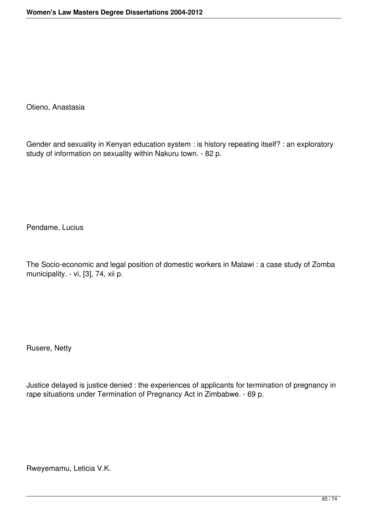Otieno, Anastasia

Gender and sexuality in Kenyan education system : is history repeating itself? : an exploratory study of information on sexuality within Nakuru town. - 82 p.

Pendame, Lucius

The Socio-economic and legal position of domestic workers in Malawi : a case study of Zomba municipality. - vi, [3], 74, xii p.

Rusere, Netty

Justice delayed is justice denied : the experiences of applicants for termination of pregnancy in rape situations under Termination of Pregnancy Act in Zimbabwe. - 69 p.

Rweyemamu, Leticia V.K.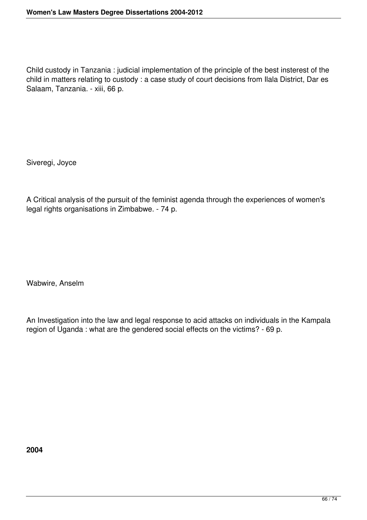Child custody in Tanzania : judicial implementation of the principle of the best insterest of the child in matters relating to custody : a case study of court decisions from Ilala District, Dar es Salaam, Tanzania. - xiii, 66 p.

Siveregi, Joyce

A Critical analysis of the pursuit of the feminist agenda through the experiences of women's legal rights organisations in Zimbabwe. - 74 p.

Wabwire, Anselm

An Investigation into the law and legal response to acid attacks on individuals in the Kampala region of Uganda : what are the gendered social effects on the victims? - 69 p.

**2004**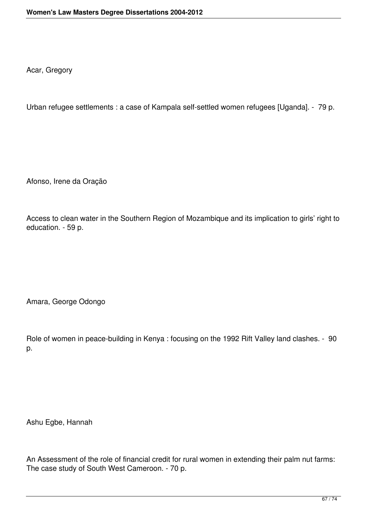Acar, Gregory

Urban refugee settlements : a case of Kampala self-settled women refugees [Uganda]. - 79 p.

Afonso, Irene da Oração

Access to clean water in the Southern Region of Mozambique and its implication to girls' right to education. - 59 p.

Amara, George Odongo

Role of women in peace-building in Kenya : focusing on the 1992 Rift Valley land clashes. - 90 p.

Ashu Egbe, Hannah

An Assessment of the role of financial credit for rural women in extending their palm nut farms: The case study of South West Cameroon. - 70 p.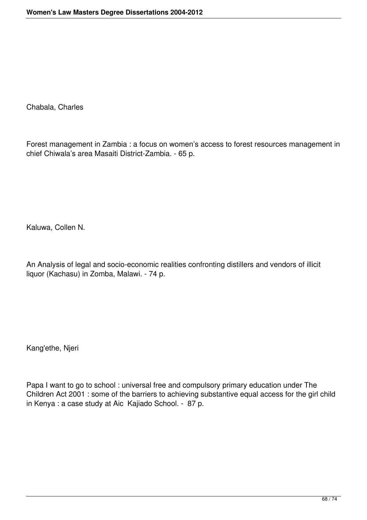Chabala, Charles

Forest management in Zambia : a focus on women's access to forest resources management in chief Chiwala's area Masaiti District-Zambia. - 65 p.

Kaluwa, Collen N.

An Analysis of legal and socio-economic realities confronting distillers and vendors of illicit liquor (Kachasu) in Zomba, Malawi. - 74 p.

Kang'ethe, Njeri

Papa I want to go to school : universal free and compulsory primary education under The Children Act 2001 : some of the barriers to achieving substantive equal access for the girl child in Kenya : a case study at Aic Kajiado School. - 87 p.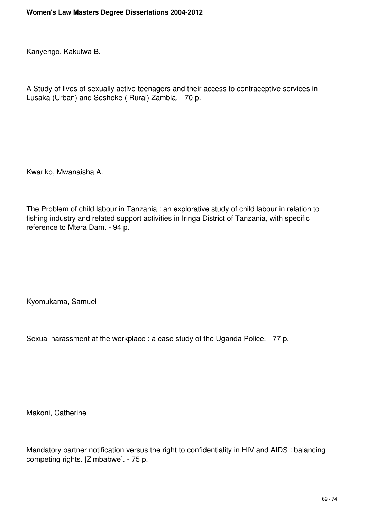Kanyengo, Kakulwa B.

A Study of lives of sexually active teenagers and their access to contraceptive services in Lusaka (Urban) and Sesheke ( Rural) Zambia. - 70 p.

Kwariko, Mwanaisha A.

The Problem of child labour in Tanzania : an explorative study of child labour in relation to fishing industry and related support activities in Iringa District of Tanzania, with specific reference to Mtera Dam. - 94 p.

Kyomukama, Samuel

Sexual harassment at the workplace : a case study of the Uganda Police. - 77 p.

Makoni, Catherine

Mandatory partner notification versus the right to confidentiality in HIV and AIDS : balancing competing rights. [Zimbabwe]. - 75 p.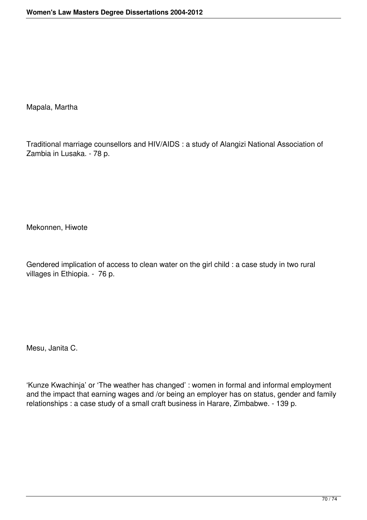Mapala, Martha

Traditional marriage counsellors and HIV/AIDS : a study of Alangizi National Association of Zambia in Lusaka. - 78 p.

Mekonnen, Hiwote

Gendered implication of access to clean water on the girl child : a case study in two rural villages in Ethiopia. - 76 p.

Mesu, Janita C.

'Kunze Kwachinja' or 'The weather has changed' : women in formal and informal employment and the impact that earning wages and /or being an employer has on status, gender and family relationships : a case study of a small craft business in Harare, Zimbabwe. - 139 p.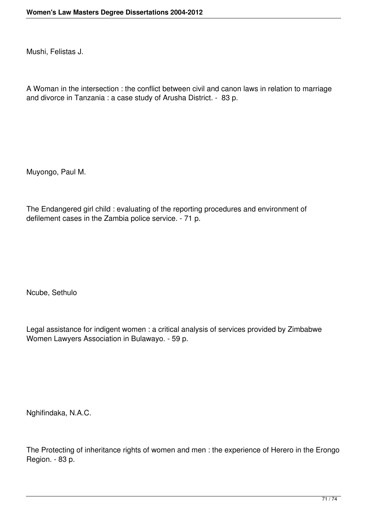Mushi, Felistas J.

A Woman in the intersection : the conflict between civil and canon laws in relation to marriage and divorce in Tanzania : a case study of Arusha District. - 83 p.

Muyongo, Paul M.

The Endangered girl child : evaluating of the reporting procedures and environment of defilement cases in the Zambia police service. - 71 p.

Ncube, Sethulo

Legal assistance for indigent women : a critical analysis of services provided by Zimbabwe Women Lawyers Association in Bulawayo. - 59 p.

Nghifindaka, N.A.C.

The Protecting of inheritance rights of women and men : the experience of Herero in the Erongo Region. - 83 p.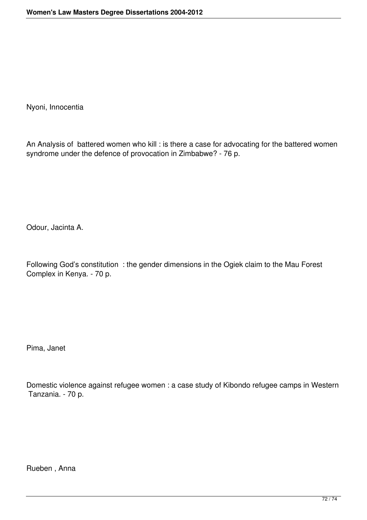Nyoni, Innocentia

An Analysis of battered women who kill : is there a case for advocating for the battered women syndrome under the defence of provocation in Zimbabwe? - 76 p.

Odour, Jacinta A.

Following God's constitution : the gender dimensions in the Ogiek claim to the Mau Forest Complex in Kenya. - 70 p.

Pima, Janet

Domestic violence against refugee women : a case study of Kibondo refugee camps in Western Tanzania. - 70 p.

Rueben , Anna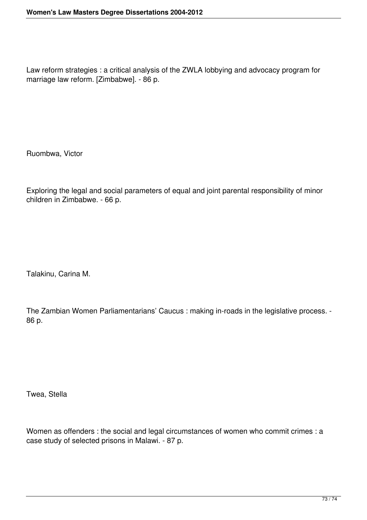Law reform strategies : a critical analysis of the ZWLA lobbying and advocacy program for marriage law reform. [Zimbabwe]. - 86 p.

Ruombwa, Victor

Exploring the legal and social parameters of equal and joint parental responsibility of minor children in Zimbabwe. - 66 p.

Talakinu, Carina M.

The Zambian Women Parliamentarians' Caucus : making in-roads in the legislative process. - 86 p.

Twea, Stella

Women as offenders : the social and legal circumstances of women who commit crimes : a case study of selected prisons in Malawi. - 87 p.